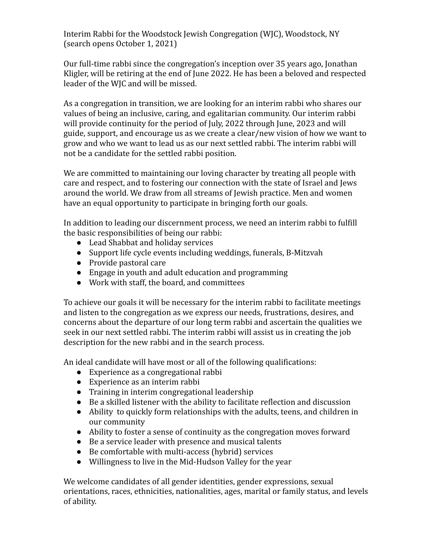Interim Rabbi for the Woodstock Jewish Congregation (WJC), Woodstock, NY (search opens October 1, 2021)

Our full-time rabbi since the congregation's inception over 35 years ago, Jonathan Kligler, will be retiring at the end of June 2022. He has been a beloved and respected leader of the WJC and will be missed.

As a congregation in transition, we are looking for an interim rabbi who shares our values of being an inclusive, caring, and egalitarian community. Our interim rabbi will provide continuity for the period of July, 2022 through June, 2023 and will guide, support, and encourage us as we create a clear/new vision of how we want to grow and who we want to lead us as our next settled rabbi. The interim rabbi will not be a candidate for the settled rabbi position.

We are committed to maintaining our loving character by treating all people with care and respect, and to fostering our connection with the state of Israel and Jews around the world. We draw from all streams of Jewish practice. Men and women have an equal opportunity to participate in bringing forth our goals.

In addition to leading our discernment process, we need an interim rabbi to fulfill the basic responsibilities of being our rabbi:

- Lead Shabbat and holiday services
- Support life cycle events including weddings, funerals, B-Mitzvah
- Provide pastoral care
- Engage in youth and adult education and programming
- Work with staff, the board, and committees

To achieve our goals it will be necessary for the interim rabbi to facilitate meetings and listen to the congregation as we express our needs, frustrations, desires, and concerns about the departure of our long term rabbi and ascertain the qualities we seek in our next settled rabbi. The interim rabbi will assist us in creating the job description for the new rabbi and in the search process.

An ideal candidate will have most or all of the following qualifications:

- Experience as a congregational rabbi
- Experience as an interim rabbi
- Training in interim congregational leadership
- Be a skilled listener with the ability to facilitate reflection and discussion
- Ability to quickly form relationships with the adults, teens, and children in our community
- Ability to foster a sense of continuity as the congregation moves forward
- Be a service leader with presence and musical talents
- Be comfortable with multi-access (hybrid) services
- Willingness to live in the Mid-Hudson Valley for the year

We welcome candidates of all gender identities, gender expressions, sexual orientations, races, ethnicities, nationalities, ages, marital or family status, and levels of ability.